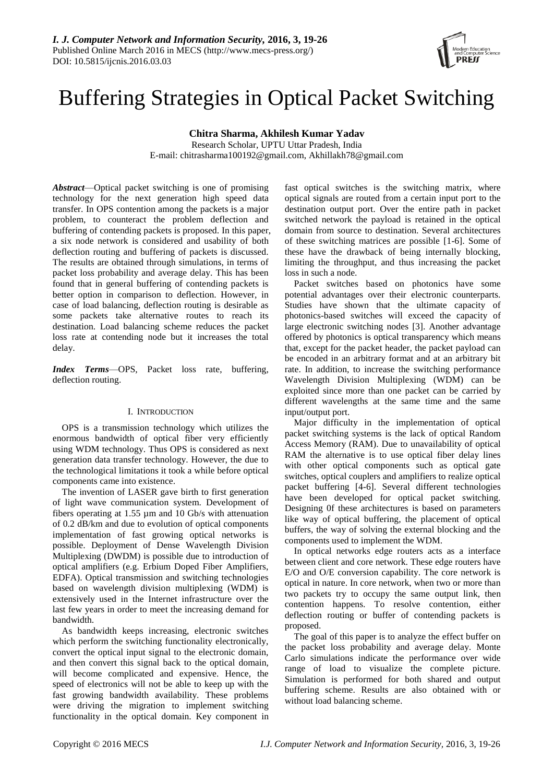

# Buffering Strategies in Optical Packet Switching

**Chitra Sharma, Akhilesh Kumar Yadav**

Research Scholar, UPTU Uttar Pradesh, India E-mail: chitrasharma100192@gmail.com, Akhillakh78@gmail.com

*Abstract*—Optical packet switching is one of promising technology for the next generation high speed data transfer. In OPS contention among the packets is a major problem, to counteract the problem deflection and buffering of contending packets is proposed. In this paper, a six node network is considered and usability of both deflection routing and buffering of packets is discussed. The results are obtained through simulations, in terms of packet loss probability and average delay. This has been found that in general buffering of contending packets is better option in comparison to deflection. However, in case of load balancing, deflection routing is desirable as some packets take alternative routes to reach its destination. Load balancing scheme reduces the packet loss rate at contending node but it increases the total delay.

*Index Terms*—OPS, Packet loss rate, buffering, deflection routing.

# I. INTRODUCTION

OPS is a transmission technology which utilizes the enormous bandwidth of optical fiber very efficiently using WDM technology. Thus OPS is considered as next generation data transfer technology. However, the due to the technological limitations it took a while before optical components came into existence.

The invention of LASER gave birth to first generation of light wave communication system. Development of fibers operating at 1.55 µm and 10 Gb/s with attenuation of 0.2 dB/km and due to evolution of optical components implementation of fast growing optical networks is possible. Deployment of Dense Wavelength Division Multiplexing (DWDM) is possible due to introduction of optical amplifiers (e.g. Erbium Doped Fiber Amplifiers, EDFA). Optical transmission and switching technologies based on wavelength division multiplexing (WDM) is extensively used in the Internet infrastructure over the last few years in order to meet the increasing demand for bandwidth.

As bandwidth keeps increasing, electronic switches which perform the switching functionality electronically, convert the optical input signal to the electronic domain, and then convert this signal back to the optical domain, will become complicated and expensive. Hence, the speed of electronics will not be able to keep up with the fast growing bandwidth availability. These problems were driving the migration to implement switching functionality in the optical domain. Key component in fast optical switches is the switching matrix, where optical signals are routed from a certain input port to the destination output port. Over the entire path in packet switched network the payload is retained in the optical domain from source to destination. Several architectures of these switching matrices are possible [1-6]. Some of these have the drawback of being internally blocking, limiting the throughput, and thus increasing the packet loss in such a node.

Packet switches based on photonics have some potential advantages over their electronic counterparts. Studies have shown that the ultimate capacity of photonics-based switches will exceed the capacity of large electronic switching nodes [3]. Another advantage offered by photonics is optical transparency which means that, except for the packet header, the packet payload can be encoded in an arbitrary format and at an arbitrary bit rate. In addition, to increase the switching performance Wavelength Division Multiplexing (WDM) can be exploited since more than one packet can be carried by different wavelengths at the same time and the same input/output port.

Major difficulty in the implementation of optical packet switching systems is the lack of optical Random Access Memory (RAM). Due to unavailability of optical RAM the alternative is to use optical fiber delay lines with other optical components such as optical gate switches, optical couplers and amplifiers to realize optical packet buffering [4-6]. Several different technologies have been developed for optical packet switching. Designing 0f these architectures is based on parameters like way of optical buffering, the placement of optical buffers, the way of solving the external blocking and the components used to implement the WDM.

In optical networks edge routers acts as a interface between client and core network. These edge routers have E/O and O/E conversion capability. The core network is optical in nature. In core network, when two or more than two packets try to occupy the same output link, then contention happens. To resolve contention, either deflection routing or buffer of contending packets is proposed.

The goal of this paper is to analyze the effect buffer on the packet loss probability and average delay. Monte Carlo simulations indicate the performance over wide range of load to visualize the complete picture. Simulation is performed for both shared and output buffering scheme. Results are also obtained with or without load balancing scheme.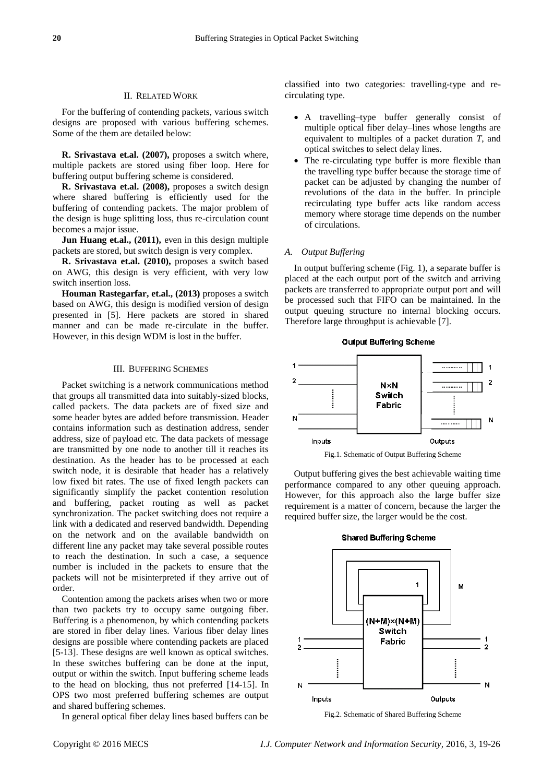## II. RELATED WORK

For the buffering of contending packets, various switch designs are proposed with various buffering schemes. Some of the them are detailed below:

**R. Srivastava et.al. (2007),** proposes a switch where, multiple packets are stored using fiber loop. Here for buffering output buffering scheme is considered.

**R. Srivastava et.al. (2008),** proposes a switch design where shared buffering is efficiently used for the buffering of contending packets. The major problem of the design is huge splitting loss, thus re-circulation count becomes a major issue.

**Jun Huang et.al., (2011), even in this design multiple** packets are stored, but switch design is very complex.

**R. Srivastava et.al. (2010),** proposes a switch based on AWG, this design is very efficient, with very low switch insertion loss.

**Houman Rastegarfar, et.al., (2013)** proposes a switch based on AWG, this design is modified version of design presented in [5]. Here packets are stored in shared manner and can be made re-circulate in the buffer. However, in this design WDM is lost in the buffer.

#### III. BUFFERING SCHEMES

Packet switching is a network communications method that groups all transmitted data into suitably-sized blocks, called packets. The data packets are of fixed size and some header bytes are added before transmission. Header contains information such as destination address, sender address, size of payload etc. The data packets of message are transmitted by one node to another till it reaches its destination. As the header has to be processed at each switch node, it is desirable that header has a relatively low fixed bit rates. The use of fixed length packets can significantly simplify the packet contention resolution and buffering, packet routing as well as packet synchronization. The packet switching does not require a link with a dedicated and reserved bandwidth. Depending on the network and on the available bandwidth on different line any packet may take several possible routes to reach the destination. In such a case, a sequence number is included in the packets to ensure that the packets will not be misinterpreted if they arrive out of order.

Contention among the packets arises when two or more than two packets try to occupy same outgoing fiber. Buffering is a phenomenon, by which contending packets are stored in fiber delay lines. Various fiber delay lines designs are possible where contending packets are placed [5-13]. These designs are well known as optical switches. In these switches buffering can be done at the input, output or within the switch. Input buffering scheme leads to the head on blocking, thus not preferred [14-15]. In OPS two most preferred buffering schemes are output and shared buffering schemes.

In general optical fiber delay lines based buffers can be

classified into two categories: travelling-type and recirculating type.

- A travelling–type buffer generally consist of multiple optical fiber delay–lines whose lengths are equivalent to multiples of a packet duration *T*, and optical switches to select delay lines.
- The re-circulating type buffer is more flexible than the travelling type buffer because the storage time of packet can be adjusted by changing the number of revolutions of the data in the buffer. In principle recirculating type buffer acts like random access memory where storage time depends on the number of circulations.

# *A. Output Buffering*

In output buffering scheme (Fig. 1), a separate buffer is placed at the each output port of the switch and arriving packets are transferred to appropriate output port and will be processed such that FIFO can be maintained. In the output queuing structure no internal blocking occurs. Therefore large throughput is achievable [7].

**Output Buffering Scheme** 





Output buffering gives the best achievable waiting time performance compared to any other queuing approach. However, for this approach also the large buffer size requirement is a matter of concern, because the larger the required buffer size, the larger would be the cost.



Fig.2. Schematic of Shared Buffering Scheme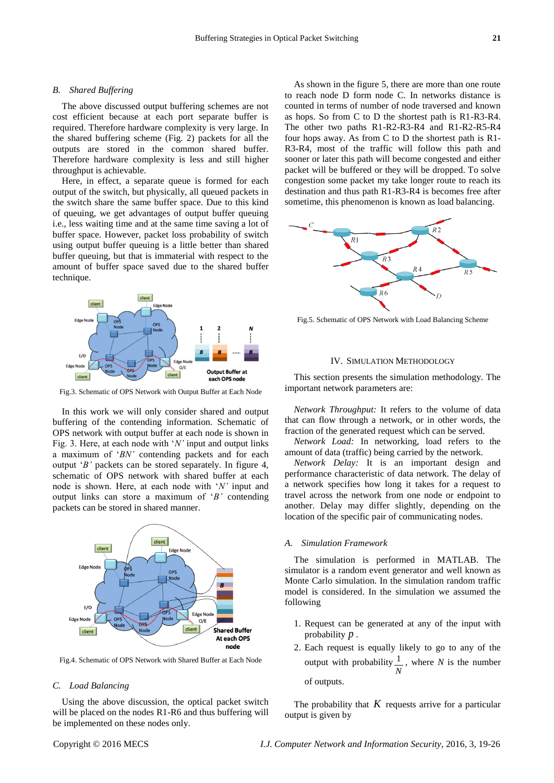#### *B. Shared Buffering*

The above discussed output buffering schemes are not cost efficient because at each port separate buffer is required. Therefore hardware complexity is very large. In the shared buffering scheme (Fig. 2) packets for all the outputs are stored in the common shared buffer. Therefore hardware complexity is less and still higher throughput is achievable.

Here, in effect, a separate queue is formed for each output of the switch, but physically, all queued packets in the switch share the same buffer space. Due to this kind of queuing, we get advantages of output buffer queuing i.e., less waiting time and at the same time saving a lot of buffer space. However, packet loss probability of switch using output buffer queuing is a little better than shared buffer queuing, but that is immaterial with respect to the amount of buffer space saved due to the shared buffer technique.



Fig.3. Schematic of OPS Network with Output Buffer at Each Node

In this work we will only consider shared and output buffering of the contending information. Schematic of OPS network with output buffer at each node is shown in Fig. 3. Here, at each node with 'N' input and output links a maximum of ‗*BN'* contending packets and for each output ‗*B'* packets can be stored separately. In figure 4, schematic of OPS network with shared buffer at each node is shown. Here, at each node with 'N' input and output links can store a maximum of ‗*B'* contending packets can be stored in shared manner.



Fig.4. Schematic of OPS Network with Shared Buffer at Each Node

## *C. Load Balancing*

Using the above discussion, the optical packet switch will be placed on the nodes R1-R6 and thus buffering will be implemented on these nodes only.

As shown in the figure 5, there are more than one route to reach node D form node C. In networks distance is counted in terms of number of node traversed and known as hops. So from C to D the shortest path is R1-R3-R4. The other two paths R1-R2-R3-R4 and R1-R2-R5-R4 four hops away. As from C to D the shortest path is R1- R3-R4, most of the traffic will follow this path and sooner or later this path will become congested and either packet will be buffered or they will be dropped. To solve congestion some packet my take longer route to reach its destination and thus path R1-R3-R4 is becomes free after sometime, this phenomenon is known as load balancing.



Fig.5. Schematic of OPS Network with Load Balancing Scheme

#### IV. SIMULATION METHODOLOGY

This section presents the simulation methodology. The important network parameters are:

*Network Throughput:* It refers to the volume of data that can flow through a network, or in other words, the fraction of the generated request which can be served.

*Network Load:* In networking, load refers to the amount of data (traffic) being carried by the network.

*Network Delay:* It is an important design and performance characteristic of data network. The delay of a network specifies how long it takes for a request to travel across the network from one node or endpoint to another. Delay may differ slightly, depending on the location of the specific pair of communicating nodes.

## *A. Simulation Framework*

The simulation is performed in MATLAB. The simulator is a random event generator and well known as Monte Carlo simulation. In the simulation random traffic model is considered. In the simulation we assumed the following

- 1. Request can be generated at any of the input with probability *p* .
- 2. Each request is equally likely to go to any of the output with probability  $\frac{1}{1}$ *N* , where *N* is the number of outputs.

The probability that  $K$  requests arrive for a particular output is given by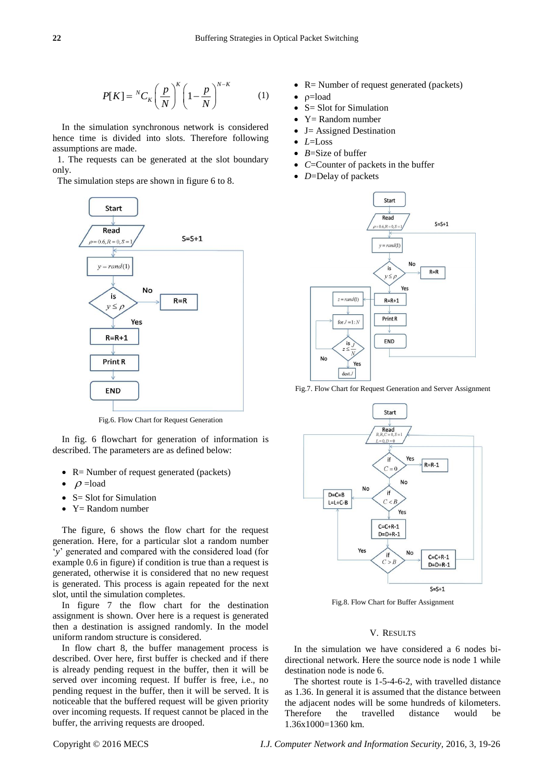$$
P[K] = {}^{N}C_{K} \left(\frac{p}{N}\right)^{K} \left(1 - \frac{p}{N}\right)^{N-K} \tag{1}
$$

In the simulation synchronous network is considered hence time is divided into slots. Therefore following assumptions are made.

1. The requests can be generated at the slot boundary only.

The simulation steps are shown in figure 6 to 8.



Fig.6. Flow Chart for Request Generation

In fig. 6 flowchart for generation of information is described. The parameters are as defined below:

- $\bullet$  R= Number of request generated (packets)
- $\rho$  =load
- $\bullet$  S= Slot for Simulation
- $Y=$  Random number

The figure, 6 shows the flow chart for the request generation. Here, for a particular slot a random number ‗*y*' generated and compared with the considered load (for example 0.6 in figure) if condition is true than a request is generated, otherwise it is considered that no new request is generated. This process is again repeated for the next slot, until the simulation completes.

In figure 7 the flow chart for the destination assignment is shown. Over here is a request is generated then a destination is assigned randomly. In the model uniform random structure is considered.

In flow chart 8, the buffer management process is described. Over here, first buffer is checked and if there is already pending request in the buffer, then it will be served over incoming request. If buffer is free, i.e., no pending request in the buffer, then it will be served. It is noticeable that the buffered request will be given priority over incoming requests. If request cannot be placed in the buffer, the arriving requests are drooped.

- R = Number of request generated (packets)
- $p =$ load
- S= Slot for Simulation
- $Y =$  Random number
- J= Assigned Destination
- $-L=L$ oss
- *B*=Size of buffer
- C=Counter of packets in the buffer
- *D*=Delay of packets



Fig.7. Flow Chart for Request Generation and Server Assignment



Fig.8. Flow Chart for Buffer Assignment

### V. RESULTS

In the simulation we have considered a 6 nodes bidirectional network. Here the source node is node 1 while destination node is node 6.

The shortest route is 1-5-4-6-2, with travelled distance as 1.36. In general it is assumed that the distance between the adjacent nodes will be some hundreds of kilometers. Therefore the travelled distance would be 1.36x1000=1360 km.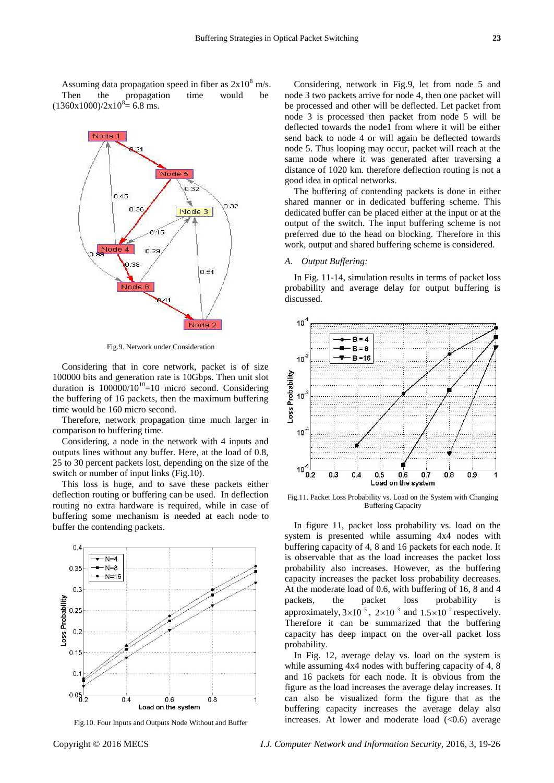Assuming data propagation speed in fiber as  $2x10^8$  m/s. Then the propagation time would be  $(1360x1000)/2x10^{8} = 6.8$  ms.



Fig.9. Network under Consideration

Considering that in core network, packet is of size 100000 bits and generation rate is 10Gbps. Then unit slot duration is  $100000/10^{10}$ =10 micro second. Considering the buffering of 16 packets, then the maximum buffering time would be 160 micro second.

Therefore, network propagation time much larger in comparison to buffering time.

Considering, a node in the network with 4 inputs and outputs lines without any buffer. Here, at the load of 0.8, 25 to 30 percent packets lost, depending on the size of the switch or number of input links (Fig.10).

This loss is huge, and to save these packets either deflection routing or buffering can be used. In deflection routing no extra hardware is required, while in case of buffering some mechanism is needed at each node to buffer the contending packets.



Fig.10. Four Inputs and Outputs Node Without and Buffer

Considering, network in Fig.9, let from node 5 and node 3 two packets arrive for node 4, then one packet will be processed and other will be deflected. Let packet from node 3 is processed then packet from node 5 will be deflected towards the node1 from where it will be either send back to node 4 or will again be deflected towards node 5. Thus looping may occur, packet will reach at the same node where it was generated after traversing a distance of 1020 km. therefore deflection routing is not a good idea in optical networks.

The buffering of contending packets is done in either shared manner or in dedicated buffering scheme. This dedicated buffer can be placed either at the input or at the output of the switch. The input buffering scheme is not preferred due to the head on blocking. Therefore in this work, output and shared buffering scheme is considered.

# *A. Output Buffering:*

In Fig. 11-14, simulation results in terms of packet loss probability and average delay for output buffering is discussed.



Fig.11. Packet Loss Probability vs. Load on the System with Changing Buffering Capacity

In figure 11, packet loss probability vs. load on the system is presented while assuming 4x4 nodes with buffering capacity of 4, 8 and 16 packets for each node. It is observable that as the load increases the packet loss probability also increases. However, as the buffering capacity increases the packet loss probability decreases. At the moderate load of 0.6, with buffering of 16, 8 and 4 packets, the packet loss probability is approximately,  $3 \times 10^{-5}$ ,  $2 \times 10^{-3}$  and  $1.5 \times 10^{-2}$  respectively. Therefore it can be summarized that the buffering capacity has deep impact on the over-all packet loss probability.

In Fig. 12, average delay vs. load on the system is while assuming 4x4 nodes with buffering capacity of 4, 8 and 16 packets for each node. It is obvious from the figure as the load increases the average delay increases. It can also be visualized form the figure that as the buffering capacity increases the average delay also increases. At lower and moderate load  $( $0.6$ ) average$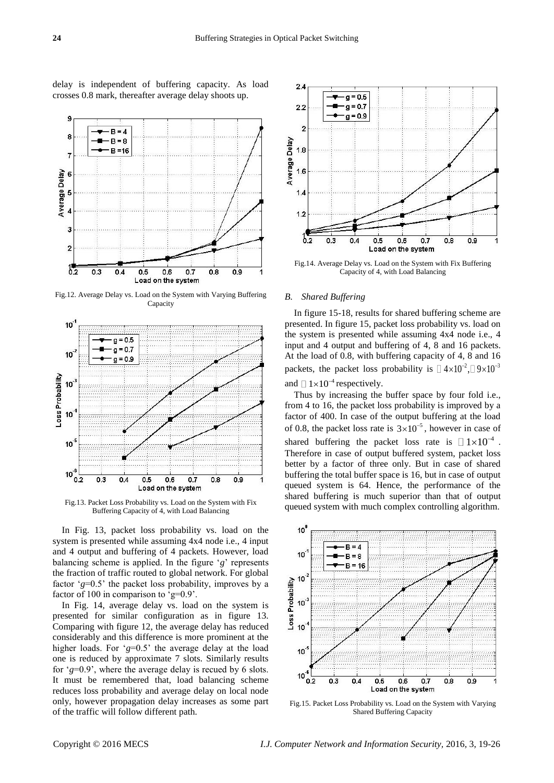delay is independent of buffering capacity. As load crosses 0.8 mark, thereafter average delay shoots up.



Fig.12. Average Delay vs. Load on the System with Varying Buffering Capacity



Fig.13. Packet Loss Probability vs. Load on the System with Fix Buffering Capacity of 4, with Load Balancing

In Fig. 13, packet loss probability vs. load on the system is presented while assuming 4x4 node i.e., 4 input and 4 output and buffering of 4 packets. However, load balancing scheme is applied. In the figure  $g'$  represents the fraction of traffic routed to global network. For global factor  $g=0.5$  the packet loss probability, improves by a factor of 100 in comparison to  $g=0.9'$ .

In Fig. 14, average delay vs. load on the system is presented for similar configuration as in figure 13. Comparing with figure 12, the average delay has reduced considerably and this difference is more prominent at the higher loads. For  $g=0.5$  the average delay at the load one is reduced by approximate 7 slots. Similarly results for  $g=0.9$ <sup>'</sup>, where the average delay is recued by 6 slots. It must be remembered that, load balancing scheme reduces loss probability and average delay on local node only, however propagation delay increases as some part of the traffic will follow different path.



Fig.14. Average Delay vs. Load on the System with Fix Buffering Capacity of 4, with Load Balancing

#### *B. Shared Buffering*

In figure 15-18, results for shared buffering scheme are presented. In figure 15, packet loss probability vs. load on the system is presented while assuming 4x4 node i.e., 4 input and 4 output and buffering of 4, 8 and 16 packets. At the load of 0.8, with buffering capacity of 4, 8 and 16 packets, the packet loss probability is  $[14 \times 10^{-2}, 9 \times 10^{-3}]$ and  $\Box 1 \times 10^{-4}$  respectively.

Thus by increasing the buffer space by four fold i.e., from 4 to 16, the packet loss probability is improved by a factor of 400. In case of the output buffering at the load of 0.8, the packet loss rate is  $3 \times 10^{-5}$ , however in case of shared buffering the packet loss rate is  $\Box 1 \times 10^{-4}$ . Therefore in case of output buffered system, packet loss better by a factor of three only. But in case of shared buffering the total buffer space is 16, but in case of output queued system is 64. Hence, the performance of the shared buffering is much superior than that of output queued system with much complex controlling algorithm.



Fig.15. Packet Loss Probability vs. Load on the System with Varying Shared Buffering Capacity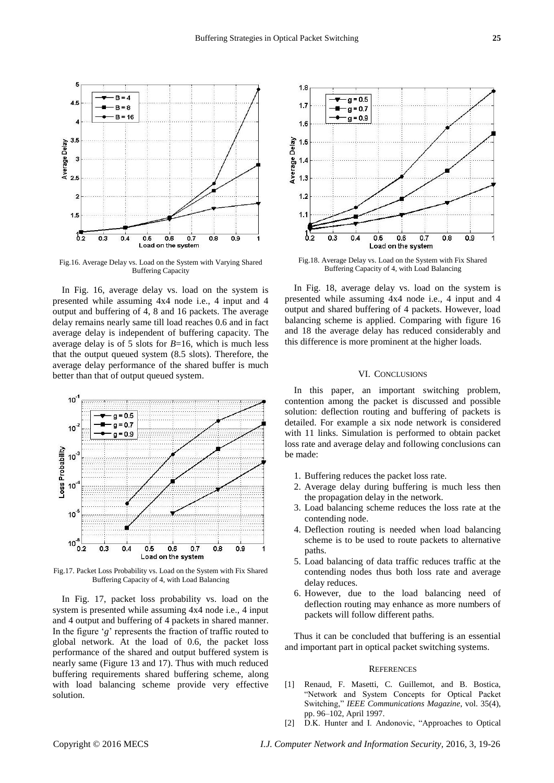

Fig.16. Average Delay vs. Load on the System with Varying Shared Buffering Capacity

In Fig. 16, average delay vs. load on the system is presented while assuming 4x4 node i.e., 4 input and 4 output and buffering of 4, 8 and 16 packets. The average delay remains nearly same till load reaches 0.6 and in fact average delay is independent of buffering capacity. The average delay is of 5 slots for *B*=16, which is much less that the output queued system (8.5 slots). Therefore, the average delay performance of the shared buffer is much better than that of output queued system.



Fig.17. Packet Loss Probability vs. Load on the System with Fix Shared Buffering Capacity of 4, with Load Balancing

In Fig. 17, packet loss probability vs. load on the system is presented while assuming 4x4 node i.e., 4 input and 4 output and buffering of 4 packets in shared manner. In the figure 'g' represents the fraction of traffic routed to global network. At the load of 0.6, the packet loss performance of the shared and output buffered system is nearly same (Figure 13 and 17). Thus with much reduced buffering requirements shared buffering scheme, along with load balancing scheme provide very effective solution.



Fig.18. Average Delay vs. Load on the System with Fix Shared Buffering Capacity of 4, with Load Balancing

In Fig. 18, average delay vs. load on the system is presented while assuming 4x4 node i.e., 4 input and 4 output and shared buffering of 4 packets. However, load balancing scheme is applied. Comparing with figure 16 and 18 the average delay has reduced considerably and this difference is more prominent at the higher loads.

# VI. CONCLUSIONS

In this paper, an important switching problem, contention among the packet is discussed and possible solution: deflection routing and buffering of packets is detailed. For example a six node network is considered with 11 links. Simulation is performed to obtain packet loss rate and average delay and following conclusions can be made:

- 1. Buffering reduces the packet loss rate.
- 2. Average delay during buffering is much less then the propagation delay in the network.
- 3. Load balancing scheme reduces the loss rate at the contending node.
- 4. Deflection routing is needed when load balancing scheme is to be used to route packets to alternative paths.
- 5. Load balancing of data traffic reduces traffic at the contending nodes thus both loss rate and average delay reduces.
- 6. However, due to the load balancing need of deflection routing may enhance as more numbers of packets will follow different paths.

Thus it can be concluded that buffering is an essential and important part in optical packet switching systems.

#### **REFERENCES**

- [1] Renaud, F. Masetti, C. Guillemot, and B. Bostica, ―Network and System Concepts for Optical Packet Switching," IEEE Communications Magazine, vol. 35(4), pp. 96–102, April 1997.
- [2] D.K. Hunter and I. Andonovic, "Approaches to Optical